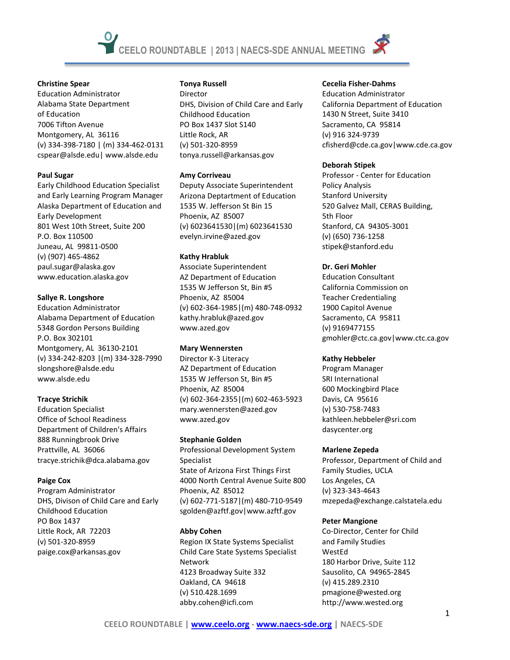# **Christine Spear**

Education Administrator Alabama State Department of Education 7006 Tifton Avenue Montgomery, AL 36116 (v) 334-398-7180 | (m) 334-462-0131 cspear@alsde.edu| www.alsde.edu

# **Paul Sugar**

Early Childhood Education Specialist and Early Learning Program Manager Alaska Department of Education and Early Development 801 West 10th Street, Suite 200 P.O. Box 110500 Juneau, AL 99811-0500 (v) (907) 465-4862 paul.sugar@alaska.gov www.education.alaska.gov

# **Sallye R. Longshore**

Education Administrator Alabama Department of Education 5348 Gordon Persons Building P.O. Box 302101 Montgomery, AL 36130-2101 (v) 334-242-8203 |(m) 334-328-7990 slongshore@alsde.edu www.alsde.edu

# **Tracye Strichik**

Education Specialist Office of School Readiness Department of Children's Affairs 888 Runningbrook Drive Prattville, AL 36066 tracye.strichik@dca.alabama.gov

# **Paige Cox**

Program Administrator DHS, Divison of Child Care and Early Childhood Education PO Box 1437 Little Rock, AR 72203 (v) 501-320-8959 paige.cox@arkansas.gov

# **Tonya Russell**

Director DHS, Division of Child Care and Early Childhood Education PO Box 1437 Slot S140 Little Rock, AR (v) 501-320-8959 tonya.russell@arkansas.gov

#### **Amy Corriveau**

Deputy Associate Superintendent Arizona Deptartment of Education 1535 W. Jefferson St Bin 15 Phoenix, AZ 85007 (v) 6023641530|(m) 6023641530 evelyn.irvine@azed.gov

# **Kathy Hrabluk**

Associate Superintendent AZ Department of Education 1535 W Jefferson St, Bin #5 Phoenix, AZ 85004 (v) 602-364-1985|(m) 480-748-0932 kathy.hrabluk@azed.gov www.azed.gov

# **Mary Wennersten**

Director K-3 Literacy AZ Department of Education 1535 W Jefferson St, Bin #5 Phoenix, AZ 85004 (v) 602-364-2355|(m) 602-463-5923 mary.wennersten@azed.gov www.azed.gov

# **Stephanie Golden**

Professional Development System Specialist State of Arizona First Things First 4000 North Central Avenue Suite 800 Phoenix, AZ 85012 (v) 602-771-5187|(m) 480-710-9549 sgolden@azftf.gov|www.azftf.gov

# **Abby Cohen**

Region IX State Systems Specialist Child Care State Systems Specialist Network 4123 Broadway Suite 332 Oakland, CA 94618 (v) 510.428.1699 abby.cohen@icfi.com

# **Cecelia Fisher-Dahms**

Education Administrator California Department of Education 1430 N Street, Suite 3410 Sacramento, CA 95814 (v) 916 324-9739 cfisherd@cde.ca.gov|www.cde.ca.gov

# **Deborah Stipek**

Professor - Center for Education Policy Analysis Stanford University 520 Galvez Mall, CERAS Building, 5th Floor Stanford, CA 94305-3001 (v) (650) 736-1258 stipek@stanford.edu

# **Dr. Geri Mohler**

Education Consultant California Commission on Teacher Credentialing 1900 Capitol Avenue Sacramento, CA 95811 (v) 9169477155 gmohler@ctc.ca.gov|www.ctc.ca.gov

# **Kathy Hebbeler**

Program Manager SRI International 600 Mockingbird Place Davis, CA 95616 (v) 530-758-7483 kathleen.hebbeler@sri.com dasycenter.org

# **Marlene Zepeda**

Professor, Department of Child and Family Studies, UCLA Los Angeles, CA (v) 323-343-4643 mzepeda@exchange.calstatela.edu

# **Peter Mangione**

Co-Director, Center for Child and Family Studies WestEd 180 Harbor Drive, Suite 112 Sausolito, CA 94965-2845 (v) 415.289.2310 pmagione@wested.org http://www.wested.org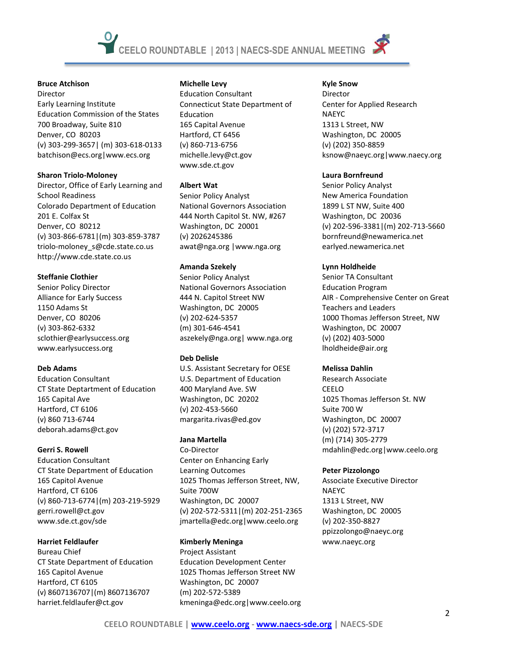

Director Early Learning Institute Education Commission of the States 700 Broadway, Suite 810 Denver, CO 80203 (v) 303-299-3657| (m) 303-618-0133 batchison@ecs.org|www.ecs.org

# **Sharon Triolo-Moloney**

Director, Office of Early Learning and School Readiness Colorado Department of Education 201 E. Colfax St Denver, CO 80212 (v) 303-866-6781|(m) 303-859-3787 triolo-moloney\_s@cde.state.co.us http://www.cde.state.co.us

# **Steffanie Clothier**

Senior Policy Director Alliance for Early Success 1150 Adams St Denver, CO 80206 (v) 303-862-6332 sclothier@earlysuccess.org www.earlysuccess.org

# **Deb Adams**

Education Consultant CT State Deptartment of Education 165 Capital Ave Hartford, CT 6106 (v) 860 713-6744 deborah.adams@ct.gov

# **Gerri S. Rowell**

Education Consultant CT State Department of Education 165 Capitol Avenue Hartford, CT 6106 (v) 860-713-6774|(m) 203-219-5929 gerri.rowell@ct.gov www.sde.ct.gov/sde

# **Harriet Feldlaufer**

Bureau Chief CT State Department of Education 165 Capitol Avenue Hartford, CT 6105 (v) 8607136707|(m) 8607136707 harriet.feldlaufer@ct.gov

# **Michelle Levy**

Education Consultant Connecticut State Department of Education 165 Capital Avenue Hartford, CT 6456 (v) 860-713-6756 michelle.levy@ct.gov www.sde.ct.gov

# **Albert Wat**

Senior Policy Analyst National Governors Association 444 North Capitol St. NW, #267 Washington, DC 20001 (v) 2026245386 awat@nga.org |www.nga.org

# **Amanda Szekely**

Senior Policy Analyst National Governors Association 444 N. Capitol Street NW Washington, DC 20005 (v) 202-624-5357 (m) 301-646-4541 aszekely@nga.org| www.nga.org

# **Deb Delisle**

U.S. Assistant Secretary for OESE U.S. Department of Education 400 Maryland Ave. SW Washington, DC 20202 (v) 202-453-5660 margarita.rivas@ed.gov

# **Jana Martella**

Co-Director Center on Enhancing Early Learning Outcomes 1025 Thomas Jefferson Street, NW, Suite 700W Washington, DC 20007 (v) 202-572-5311|(m) 202-251-2365 jmartella@edc.org|www.ceelo.org

# **Kimberly Meninga**

Project Assistant Education Development Center 1025 Thomas Jefferson Street NW Washington, DC 20007 (m) 202-572-5389 kmeninga@edc.org|www.ceelo.org

# **Kyle Snow**

Director Center for Applied Research NAEYC 1313 L Street, NW Washington, DC 20005 (v) (202) 350-8859 ksnow@naeyc.org|www.naecy.org

# **Laura Bornfreund**

Senior Policy Analyst New America Foundation 1899 L ST NW, Suite 400 Washington, DC 20036 (v) 202-596-3381|(m) 202-713-5660 bornfreund@newamerica.net earlyed.newamerica.net

# **Lynn Holdheide**

Senior TA Consultant Education Program AIR - Comprehensive Center on Great Teachers and Leaders 1000 Thomas Jefferson Street, NW Washington, DC 20007 (v) (202) 403-5000 lholdheide@air.org

# **Melissa Dahlin**

Research Associate CEELO 1025 Thomas Jefferson St. NW Suite 700 W Washington, DC 20007 (v) (202) 572-3717 (m) (714) 305-2779 mdahlin@edc.org|www.ceelo.org

# **Peter Pizzolongo**

Associate Executive Director NAEYC 1313 L Street, NW Washington, DC 20005 (v) 202-350-8827 ppizzolongo@naeyc.org www.naeyc.org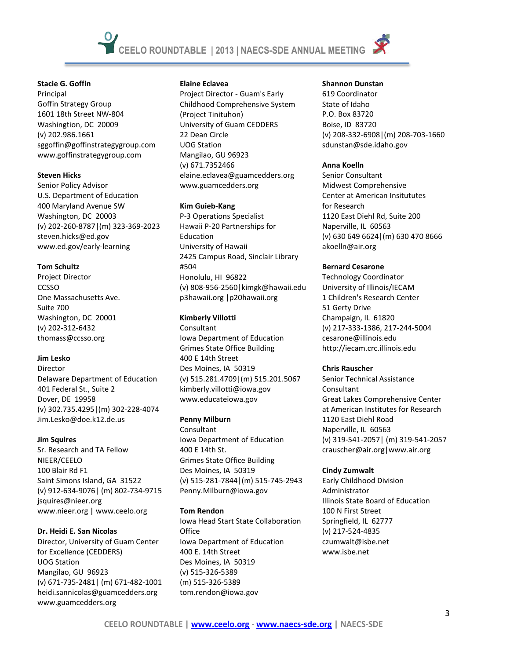#### **Stacie G. Goffin**

Principal Goffin Strategy Group 1601 18th Street NW-804 Washingtion, DC 20009 (v) 202.986.1661 sggoffin@goffinstrategygroup.com www.goffinstrategygroup.com

# **Steven Hicks**

Senior Policy Advisor U.S. Department of Education 400 Maryland Avenue SW Washington, DC 20003 (v) 202-260-8787|(m) 323-369-2023 steven.hicks@ed.gov www.ed.gov/early-learning

# **Tom Schultz**

Project Director **CCSSO** One Massachusetts Ave. Suite 700 Washington, DC 20001 (v) 202-312-6432 thomass@ccsso.org

# **Jim Lesko**

Director Delaware Department of Education 401 Federal St., Suite 2 Dover, DE 19958 (v) 302.735.4295|(m) 302-228-4074 Jim.Lesko@doe.k12.de.us

# **Jim Squires**

Sr. Research and TA Fellow NIEER/CEELO 100 Blair Rd F1 Saint Simons Island, GA 31522 (v) 912-634-9076| (m) 802-734-9715 jsquires@nieer.org www.nieer.org | www.ceelo.org

# **Dr. Heidi E. San Nicolas**

Director, University of Guam Center for Excellence (CEDDERS) UOG Station Mangilao, GU 96923 (v) 671-735-2481| (m) 671-482-1001 heidi.sannicolas@guamcedders.org www.guamcedders.org

#### **Elaine Eclavea**

Project Director - Guam's Early Childhood Comprehensive System (Project Tinituhon) University of Guam CEDDERS 22 Dean Circle UOG Station Mangilao, GU 96923 (v) 671.7352466 elaine.eclavea@guamcedders.org www.guamcedders.org

#### **Kim Guieb-Kang**

P-3 Operations Specialist Hawaii P-20 Partnerships for Education University of Hawaii 2425 Campus Road, Sinclair Library #504 Honolulu, HI 96822 (v) 808-956-2560|kimgk@hawaii.edu p3hawaii.org |p20hawaii.org

# **Kimberly Villotti**

Consultant Iowa Department of Education Grimes State Office Building 400 E 14th Street Des Moines, IA 50319 (v) 515.281.4709|(m) 515.201.5067 kimberly.villotti@iowa.gov www.educateiowa.gov

# **Penny Milburn**

Consultant Iowa Department of Education 400 E 14th St. Grimes State Office Building Des Moines, IA 50319 (v) 515-281-7844|(m) 515-745-2943 Penny.Milburn@iowa.gov

# **Tom Rendon**

Iowa Head Start State Collaboration **Office** Iowa Department of Education 400 E. 14th Street Des Moines, IA 50319 (v) 515-326-5389 (m) 515-326-5389 tom.rendon@iowa.gov

# **Shannon Dunstan**

619 Coordinator State of Idaho P.O. Box 83720 Boise, ID 83720 (v) 208-332-6908|(m) 208-703-1660 sdunstan@sde.idaho.gov

# **Anna Koelln**

Senior Consultant Midwest Comprehensive Center at American Insitututes for Research 1120 East Diehl Rd, Suite 200 Naperville, IL 60563 (v) 630 649 6624|(m) 630 470 8666 akoelln@air.org

# **Bernard Cesarone**

Technology Coordinator University of Illinois/IECAM 1 Children's Research Center 51 Gerty Drive Champaign, IL 61820 (v) 217-333-1386, 217-244-5004 cesarone@illinois.edu http://iecam.crc.illinois.edu

# **Chris Rauscher**

Senior Technical Assistance Consultant Great Lakes Comprehensive Center at American Institutes for Research 1120 East Diehl Road Naperville, IL 60563 (v) 319-541-2057| (m) 319-541-2057 crauscher@air.org|www.air.org

# **Cindy Zumwalt**

Early Childhood Division Administrator Illinois State Board of Education 100 N First Street Springfield, IL 62777 (v) 217-524-4835 czumwalt@isbe.net www.isbe.net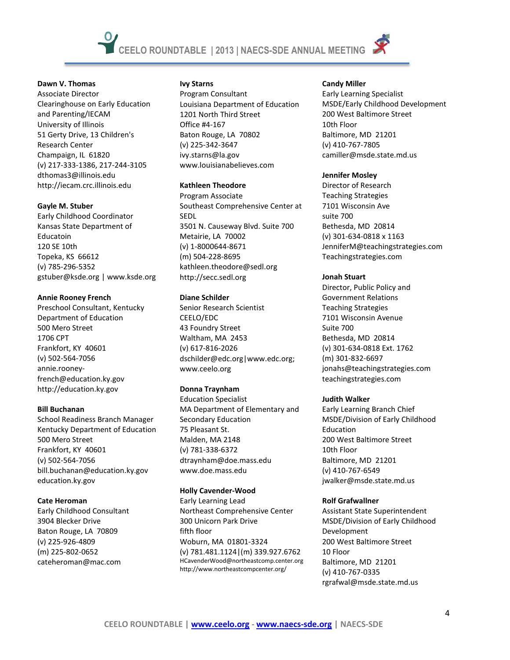

# **Dawn V. Thomas**

Associate Director Clearinghouse on Early Education and Parenting/IECAM University of Illinois 51 Gerty Drive, 13 Children's Research Center Champaign, IL 61820 (v) 217-333-1386, 217-244-3105 dthomas3@illinois.edu http://iecam.crc.illinois.edu

# **Gayle M. Stuber**

Early Childhood Coordinator Kansas State Department of Educatoin 120 SE 10th Topeka, KS 66612 (v) 785-296-5352 gstuber@ksde.org | www.ksde.org

# **Annie Rooney French**

Preschool Consultant, Kentucky Department of Education 500 Mero Street 1706 CPT Frankfort, KY 40601 (v) 502-564-7056 annie.rooneyfrench@education.ky.gov http://education.ky.gov

# **Bill Buchanan**

School Readiness Branch Manager Kentucky Department of Education 500 Mero Street Frankfort, KY 40601 (v) 502-564-7056 bill.buchanan@education.ky.gov education.ky.gov

# **Cate Heroman**

Early Childhood Consultant 3904 Blecker Drive Baton Rouge, LA 70809 (v) 225-926-4809 (m) 225-802-0652 cateheroman@mac.com

# **Ivy Starns**

Program Consultant Louisiana Department of Education 1201 North Third Street Office #4-167 Baton Rouge, LA 70802 (v) 225-342-3647 ivy.starns@la.gov www.louisianabelieves.com

# **Kathleen Theodore**

Program Associate Southeast Comprehensive Center at SEDL 3501 N. Causeway Blvd. Suite 700 Metairie, LA 70002 (v) 1-8000644-8671 (m) 504-228-8695 kathleen.theodore@sedl.org http://secc.sedl.org

# **Diane Schilder**

Senior Research Scientist CEELO/EDC 43 Foundry Street Waltham, MA 2453 (v) 617-816-2026 dschilder@edc.org|www.edc.org; www.ceelo.org

# **Donna Traynham**

Education Specialist MA Department of Elementary and Secondary Education 75 Pleasant St. Malden, MA 2148 (v) 781-338-6372 dtraynham@doe.mass.edu www.doe.mass.edu

# **Holly Cavender-Wood**

Early Learning Lead Northeast Comprehensive Center 300 Unicorn Park Drive fifth floor Woburn, MA 01801-3324 (v) 781.481.1124|(m) 339.927.6762 HCavenderWood@northeastcomp.center.org http://www.northeastcompcenter.org/

# **Candy Miller**

Early Learning Specialist MSDE/Early Childhood Development 200 West Baltimore Street 10th Floor Baltimore, MD 21201 (v) 410-767-7805 camiller@msde.state.md.us

# **Jennifer Mosley**

Director of Research Teaching Strategies 7101 Wisconsin Ave suite 700 Bethesda, MD 20814 (v) 301-634-0818 x 1163 JenniferM@teachingstrategies.com Teachingstrategies.com

# **Jonah Stuart**

Director, Public Policy and Government Relations Teaching Strategies 7101 Wisconsin Avenue Suite 700 Bethesda, MD 20814 (v) 301-634-0818 Ext. 1762 (m) 301-832-6697 jonahs@teachingstrategies.com teachingstrategies.com

# **Judith Walker**

Early Learning Branch Chief MSDE/Division of Early Childhood Education 200 West Baltimore Street 10th Floor Baltimore, MD 21201 (v) 410-767-6549 jwalker@msde.state.md.us

# **Rolf Grafwallner**

Assistant State Superintendent MSDE/Division of Early Childhood Development 200 West Baltimore Street 10 Floor Baltimore, MD 21201 (v) 410-767-0335 rgrafwal@msde.state.md.us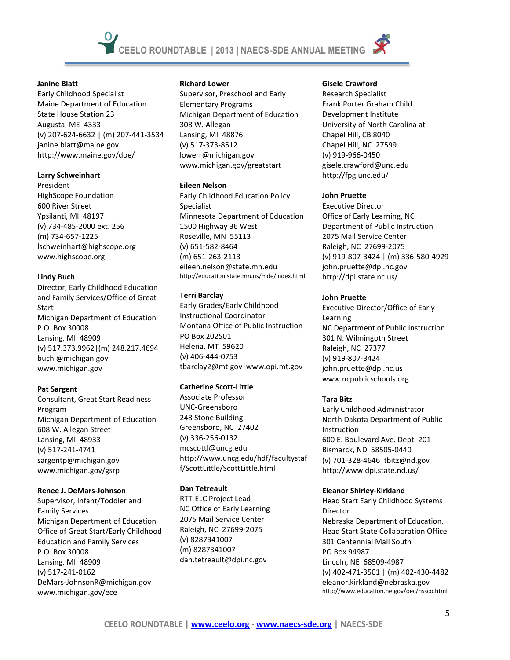# **Janine Blatt**

Early Childhood Specialist Maine Department of Education State House Station 23 Augusta, ME 4333 (v) 207-624-6632 | (m) 207-441-3534 janine.blatt@maine.gov http://www.maine.gov/doe/

# **Larry Schweinhart**

President HighScope Foundation 600 River Street Ypsilanti, MI 48197 (v) 734-485-2000 ext. 256 (m) 734-657-1225 lschweinhart@highscope.org www.highscope.org

# **Lindy Buch**

Director, Early Childhood Education and Family Services/Office of Great Start Michigan Department of Education P.O. Box 30008 Lansing, MI 48909 (v) 517.373.9962|(m) 248.217.4694 buchl@michigan.gov www.michigan.gov

# **Pat Sargent**

Consultant, Great Start Readiness Program Michigan Department of Education 608 W. Allegan Street Lansing, MI 48933 (v) 517-241-4741 sargentp@michigan.gov www.michigan.gov/gsrp

# **Renee J. DeMars-Johnson**

Supervisor, Infant/Toddler and Family Services Michigan Department of Education Office of Great Start/Early Childhood Education and Family Services P.O. Box 30008 Lansing, MI 48909 (v) 517-241-0162 DeMars-JohnsonR@michigan.gov www.michigan.gov/ece

#### **Richard Lower**

Supervisor, Preschool and Early Elementary Programs Michigan Department of Education 308 W. Allegan Lansing, MI 48876 (v) 517-373-8512 lowerr@michigan.gov www.michigan.gov/greatstart

# **Eileen Nelson**

Early Childhood Education Policy Specialist Minnesota Department of Education 1500 Highway 36 West Roseville, MN 55113 (v) 651-582-8464 (m) 651-263-2113 eileen.nelson@state.mn.edu http://education.state.mn.us/mde/index.html

# **Terri Barclay**

Early Grades/Early Childhood Instructional Coordinator Montana Office of Public Instruction PO Box 202501 Helena, MT 59620 (v) 406-444-0753 tbarclay2@mt.gov|www.opi.mt.gov

# **Catherine Scott-Little**

Associate Professor UNC-Greensboro 248 Stone Building Greensboro, NC 27402 (v) 336-256-0132 mcscottl@uncg.edu http://www.uncg.edu/hdf/facultystaf f/ScottLittle/ScottLittle.html

# **Dan Tetreault**

RTT-ELC Project Lead NC Office of Early Learning 2075 Mail Service Center Raleigh, NC 27699-2075 (v) 8287341007 (m) 8287341007 dan.tetreault@dpi.nc.gov

#### **Gisele Crawford**

Research Specialist Frank Porter Graham Child Development Institute University of North Carolina at Chapel Hill, CB 8040 Chapel Hill, NC 27599 (v) 919-966-0450 gisele.crawford@unc.edu http://fpg.unc.edu/

#### **John Pruette**

Executive Director Office of Early Learning, NC Department of Public Instruction 2075 Mail Service Center Raleigh, NC 27699-2075 (v) 919-807-3424 | (m) 336-580-4929 john.pruette@dpi.nc.gov http://dpi.state.nc.us/

# **John Pruette**

Executive Director/Office of Early Learning NC Department of Public Instruction 301 N. Wilmingotn Street Raleigh, NC 27377 (v) 919-807-3424 john.pruette@dpi.nc.us www.ncpublicschools.org

# **Tara Bitz**

Early Childhood Administrator North Dakota Department of Public **Instruction** 600 E. Boulevard Ave. Dept. 201 Bismarck, ND 58505-0440 (v) 701-328-4646|tbitz@nd.gov http://www.dpi.state.nd.us/

#### **Eleanor Shirley-Kirkland**

Head Start Early Childhood Systems Director Nebraska Department of Education, Head Start State Collaboration Office 301 Centennial Mall South PO Box 94987 Lincoln, NE 68509-4987 (v) 402-471-3501 | (m) 402-430-4482 eleanor.kirkland@nebraska.gov http://www.education.ne.gov/oec/hssco.html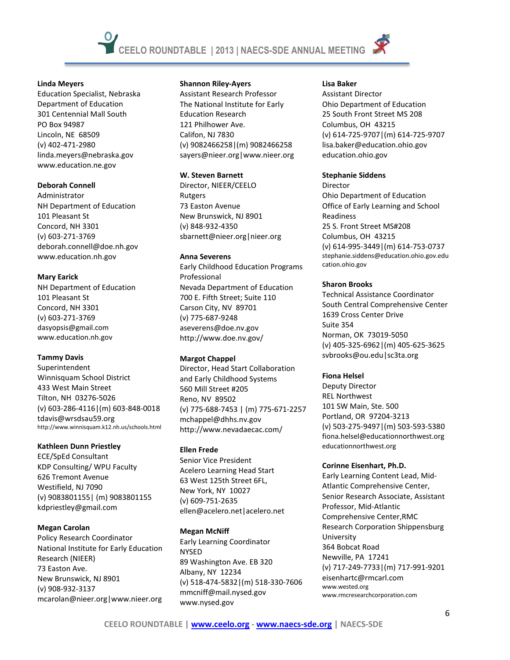

Education Specialist, Nebraska Department of Education 301 Centennial Mall South PO Box 94987 Lincoln, NE 68509 (v) 402-471-2980 linda.meyers@nebraska.gov www.education.ne.gov

#### **Deborah Connell**

Administrator NH Department of Education 101 Pleasant St Concord, NH 3301 (v) 603-271-3769 deborah.connell@doe.nh.gov www.education.nh.gov

#### **Mary Earick**

NH Department of Education 101 Pleasant St Concord, NH 3301 (v) 603-271-3769 dasyopsis@gmail.com www.education.nh.gov

# **Tammy Davis**

Superintendent Winnisquam School District 433 West Main Street Tilton, NH 03276-5026 (v) 603-286-4116|(m) 603-848-0018 tdavis@wrsdsau59.org http://www.winnisquam.k12.nh.us/schools.html

# **Kathleen Dunn Priestley**

ECE/SpEd Consultant KDP Consulting/ WPU Faculty 626 Tremont Avenue Westifield, NJ 7090 (v) 9083801155| (m) 9083801155 kdpriestley@gmail.com

# **Megan Carolan**

Policy Research Coordinator National Institute for Early Education Research (NIEER) 73 Easton Ave. New Brunswick, NJ 8901 (v) 908-932-3137 mcarolan@nieer.org|www.nieer.org

#### **Shannon Riley-Ayers**

Assistant Research Professor The National Institute for Early Education Research 121 Philhower Ave. Califon, NJ 7830 (v) 9082466258|(m) 9082466258 sayers@nieer.org|www.nieer.org

#### **W. Steven Barnett**

Director, NIEER/CEELO Rutgers 73 Easton Avenue New Brunswick, NJ 8901 (v) 848-932-4350 sbarnett@nieer.org|nieer.org

#### **Anna Severens**

Early Childhood Education Programs Professional Nevada Department of Education 700 E. Fifth Street; Suite 110 Carson City, NV 89701 (v) 775-687-9248 aseverens@doe.nv.gov http://www.doe.nv.gov/

# **Margot Chappel**

Director, Head Start Collaboration and Early Childhood Systems 560 Mill Street #205 Reno, NV 89502 (v) 775-688-7453 | (m) 775-671-2257 mchappel@dhhs.nv.gov http://www.nevadaecac.com/

# **Ellen Frede**

Senior Vice President Acelero Learning Head Start 63 West 125th Street 6FL, New York, NY 10027 (v) 609-751-2635 ellen@acelero.net|acelero.net

# **Megan McNiff**

Early Learning Coordinator NYSED 89 Washington Ave. EB 320 Albany, NY 12234 (v) 518-474-5832|(m) 518-330-7606 mmcniff@mail.nysed.gov www.nysed.gov

# **Lisa Baker**

Assistant Director Ohio Department of Education 25 South Front Street MS 208 Columbus, OH 43215 (v) 614-725-9707|(m) 614-725-9707 lisa.baker@education.ohio.gov education.ohio.gov

# **Stephanie Siddens**

Director Ohio Department of Education Office of Early Learning and School Readiness 25 S. Front Street MS#208 Columbus, OH 43215 (v) 614-995-3449|(m) 614-753-0737 stephanie.siddens@education.ohio.gov.edu cation.ohio.gov

# **Sharon Brooks**

Technical Assistance Coordinator South Central Comprehensive Center 1639 Cross Center Drive Suite 354 Norman, OK 73019-5050 (v) 405-325-6962|(m) 405-625-3625 svbrooks@ou.edu|sc3ta.org

# **Fiona Helsel**

Deputy Director REL Northwest 101 SW Main, Ste. 500 Portland, OR 97204-3213 (v) 503-275-9497|(m) 503-593-5380 fiona.helsel@educationnorthwest.org educationnorthwest.org

# **Corinne Eisenhart, Ph.D.**

Early Learning Content Lead, Mid-Atlantic Comprehensive Center, Senior Research Associate, Assistant Professor, Mid-Atlantic Comprehensive Center,RMC Research Corporation Shippensburg University 364 Bobcat Road Newville, PA 17241 (v) 717-249-7733|(m) 717-991-9201 eisenhartc@rmcarl.com www.wested.org www.rmcresearchcorporation.com